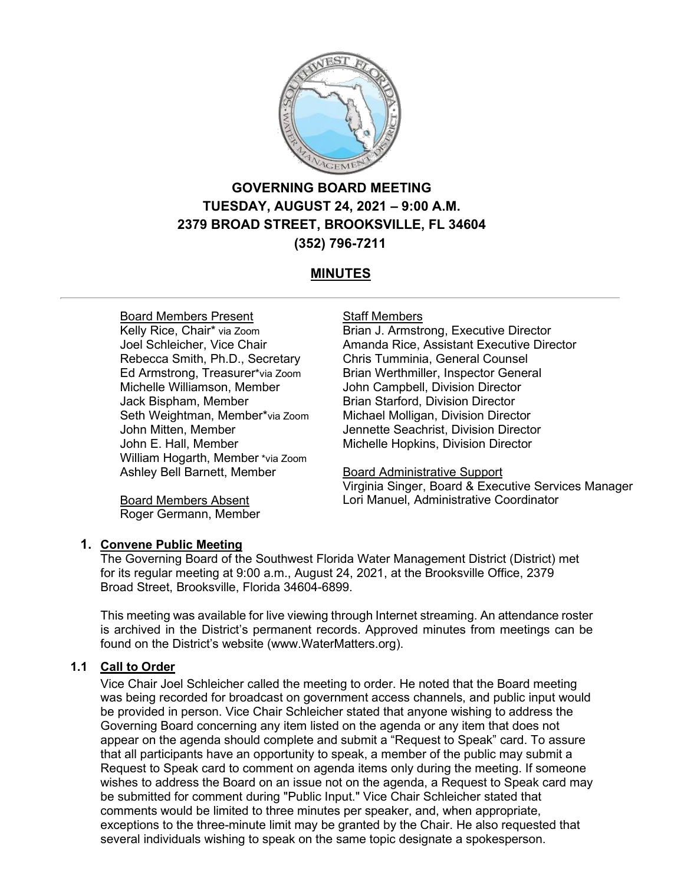

# **GOVERNING BOARD MEETING TUESDAY, AUGUST 24, 2021 – 9:00 A.M. 2379 BROAD STREET, BROOKSVILLE, FL 34604 (352) 796-7211**

# **MINUTES**

## Board Members Present

Kelly Rice, Chair\* via Zoom Joel Schleicher, Vice Chair Rebecca Smith, Ph.D., Secretary Ed Armstrong, Treasurer\*via Zoom Michelle Williamson, Member Jack Bispham, Member Seth Weightman, Member\*via Zoom John Mitten, Member John E. Hall, Member William Hogarth, Member \*via Zoom Ashley Bell Barnett, Member

Board Members Absent Roger Germann, Member

#### Staff Members

Brian J. Armstrong, Executive Director Amanda Rice, Assistant Executive Director Chris Tumminia, General Counsel Brian Werthmiller, Inspector General John Campbell, Division Director Brian Starford, Division Director Michael Molligan, Division Director Jennette Seachrist, Division Director Michelle Hopkins, Division Director

## Board Administrative Support

Virginia Singer, Board & Executive Services Manager Lori Manuel, Administrative Coordinator

## **1. Convene Public Meeting**

The Governing Board of the Southwest Florida Water Management District (District) met for its regular meeting at 9:00 a.m., August 24, 2021, at the Brooksville Office, 2379 Broad Street, Brooksville, Florida 34604-6899.

This meeting was available for live viewing through Internet streaming. An attendance roster is archived in the District's permanent records. Approved minutes from meetings can be found on the District's website (www.WaterMatters.org).

## **1.1 Call to Order**

Vice Chair Joel Schleicher called the meeting to order. He noted that the Board meeting was being recorded for broadcast on government access channels, and public input would be provided in person. Vice Chair Schleicher stated that anyone wishing to address the Governing Board concerning any item listed on the agenda or any item that does not appear on the agenda should complete and submit a "Request to Speak" card. To assure that all participants have an opportunity to speak, a member of the public may submit a Request to Speak card to comment on agenda items only during the meeting. If someone wishes to address the Board on an issue not on the agenda, a Request to Speak card may be submitted for comment during "Public Input." Vice Chair Schleicher stated that comments would be limited to three minutes per speaker, and, when appropriate, exceptions to the three-minute limit may be granted by the Chair. He also requested that several individuals wishing to speak on the same topic designate a spokesperson.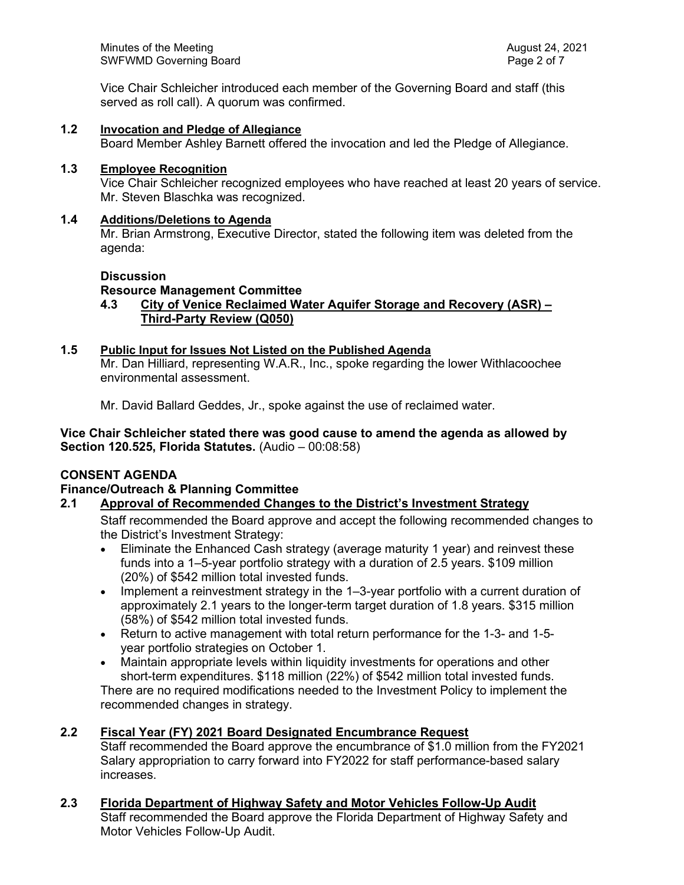Vice Chair Schleicher introduced each member of the Governing Board and staff (this served as roll call). A quorum was confirmed.

# **1.2 Invocation and Pledge of Allegiance**

Board Member Ashley Barnett offered the invocation and led the Pledge of Allegiance.

#### **1.3 Employee Recognition**

Vice Chair Schleicher recognized employees who have reached at least 20 years of service. Mr. Steven Blaschka was recognized.

#### **1.4 Additions/Deletions to Agenda**

Mr. Brian Armstrong, Executive Director, stated the following item was deleted from the agenda:

# **Discussion**

# **Resource Management Committee**

**4.3 City of Venice Reclaimed Water Aquifer Storage and Recovery (ASR) – Third-Party Review (Q050)**

## **1.5 Public Input for Issues Not Listed on the Published Agenda**

Mr. Dan Hilliard, representing W.A.R., Inc., spoke regarding the lower Withlacoochee environmental assessment.

Mr. David Ballard Geddes, Jr., spoke against the use of reclaimed water.

**Vice Chair Schleicher stated there was good cause to amend the agenda as allowed by Section 120.525, Florida Statutes.** (Audio – 00:08:58)

## **CONSENT AGENDA**

## **Finance/Outreach & Planning Committee**

## **2.1 Approval of Recommended Changes to the District's Investment Strategy**

Staff recommended the Board approve and accept the following recommended changes to the District's Investment Strategy:

- Eliminate the Enhanced Cash strategy (average maturity 1 year) and reinvest these funds into a 1–5-year portfolio strategy with a duration of 2.5 years. \$109 million (20%) of \$542 million total invested funds.
- Implement a reinvestment strategy in the 1–3-year portfolio with a current duration of approximately 2.1 years to the longer-term target duration of 1.8 years. \$315 million (58%) of \$542 million total invested funds.
- Return to active management with total return performance for the 1-3- and 1-5 year portfolio strategies on October 1.
- Maintain appropriate levels within liquidity investments for operations and other short-term expenditures. \$118 million (22%) of \$542 million total invested funds. There are no required modifications needed to the Investment Policy to implement the recommended changes in strategy.

# **2.2 Fiscal Year (FY) 2021 Board Designated Encumbrance Request**

Staff recommended the Board approve the encumbrance of \$1.0 million from the FY2021 Salary appropriation to carry forward into FY2022 for staff performance-based salary increases.

**2.3 Florida Department of Highway Safety and Motor Vehicles Follow-Up Audit** Staff recommended the Board approve the Florida Department of Highway Safety and Motor Vehicles Follow-Up Audit.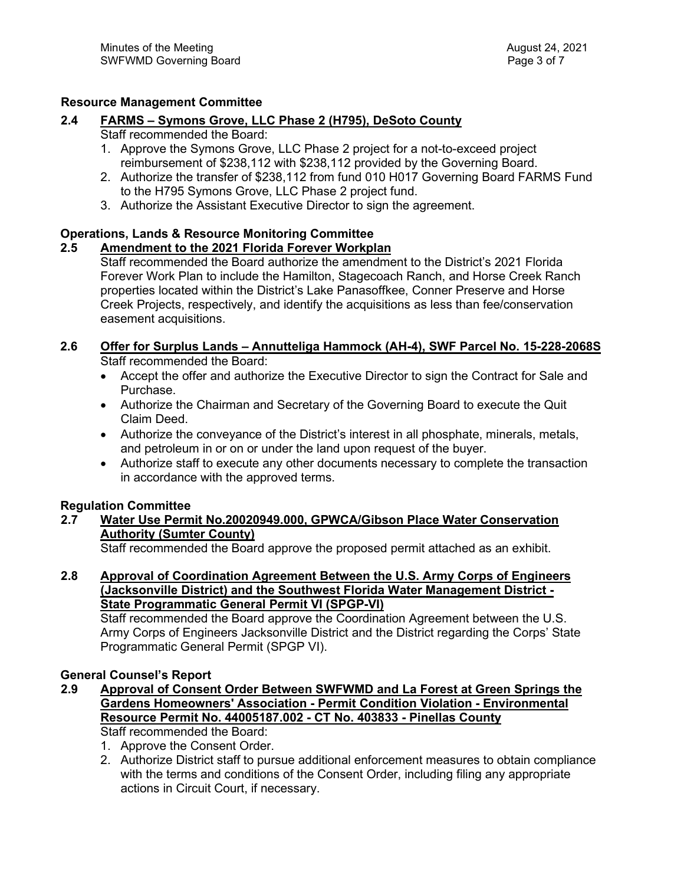# **Resource Management Committee**

# **2.4 FARMS – Symons Grove, LLC Phase 2 (H795), DeSoto County**

# Staff recommended the Board:

- 1. Approve the Symons Grove, LLC Phase 2 project for a not-to-exceed project reimbursement of \$238,112 with \$238,112 provided by the Governing Board.
- 2. Authorize the transfer of \$238,112 from fund 010 H017 Governing Board FARMS Fund to the H795 Symons Grove, LLC Phase 2 project fund.
- 3. Authorize the Assistant Executive Director to sign the agreement.

# **Operations, Lands & Resource Monitoring Committee**

# **2.5 Amendment to the 2021 Florida Forever Workplan**

Staff recommended the Board authorize the amendment to the District's 2021 Florida Forever Work Plan to include the Hamilton, Stagecoach Ranch, and Horse Creek Ranch properties located within the District's Lake Panasoffkee, Conner Preserve and Horse Creek Projects, respectively, and identify the acquisitions as less than fee/conservation easement acquisitions.

# **2.6 Offer for Surplus Lands – Annutteliga Hammock (AH-4), SWF Parcel No. 15-228-2068S** Staff recommended the Board:

- Accept the offer and authorize the Executive Director to sign the Contract for Sale and Purchase.
- Authorize the Chairman and Secretary of the Governing Board to execute the Quit Claim Deed.
- Authorize the conveyance of the District's interest in all phosphate, minerals, metals, and petroleum in or on or under the land upon request of the buyer.
- Authorize staff to execute any other documents necessary to complete the transaction in accordance with the approved terms.

# **Regulation Committee**

**2.7 Water Use Permit No.20020949.000, GPWCA/Gibson Place Water Conservation Authority (Sumter County)**

Staff recommended the Board approve the proposed permit attached as an exhibit.

**2.8 Approval of Coordination Agreement Between the U.S. Army Corps of Engineers (Jacksonville District) and the Southwest Florida Water Management District - State Programmatic General Permit VI (SPGP-VI)**

Staff recommended the Board approve the Coordination Agreement between the U.S. Army Corps of Engineers Jacksonville District and the District regarding the Corps' State Programmatic General Permit (SPGP VI).

# **General Counsel's Report**

**2.9 Approval of Consent Order Between SWFWMD and La Forest at Green Springs the Gardens Homeowners' Association - Permit Condition Violation - Environmental Resource Permit No. 44005187.002 - CT No. 403833 - Pinellas County**

Staff recommended the Board:

- 1. Approve the Consent Order.
- 2. Authorize District staff to pursue additional enforcement measures to obtain compliance with the terms and conditions of the Consent Order, including filing any appropriate actions in Circuit Court, if necessary.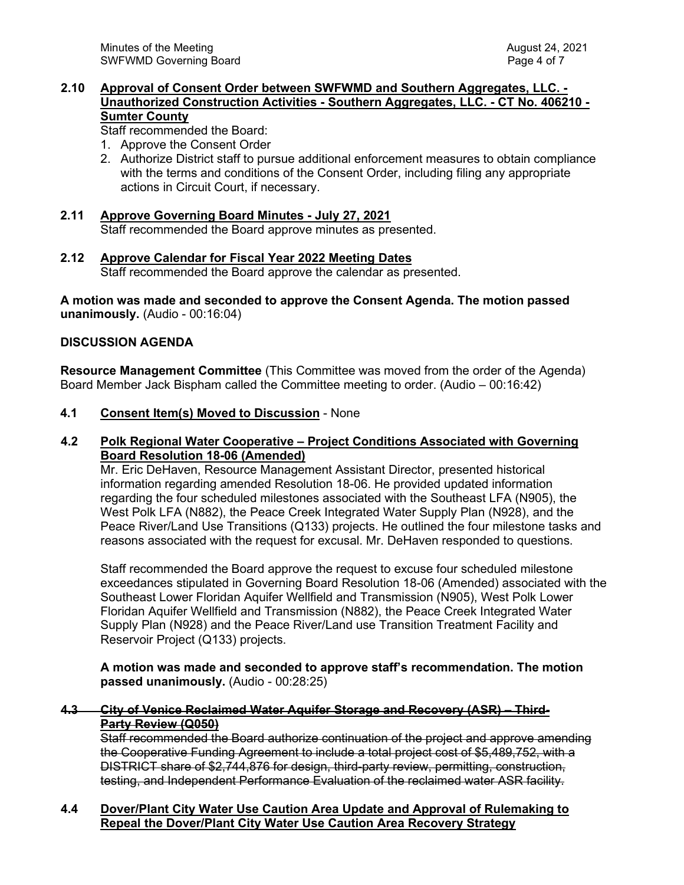#### **2.10 Approval of Consent Order between SWFWMD and Southern Aggregates, LLC. - Unauthorized Construction Activities - Southern Aggregates, LLC. - CT No. 406210 - Sumter County**

Staff recommended the Board:

- 1. Approve the Consent Order
- 2. Authorize District staff to pursue additional enforcement measures to obtain compliance with the terms and conditions of the Consent Order, including filing any appropriate actions in Circuit Court, if necessary.
- **2.11 Approve Governing Board Minutes July 27, 2021** Staff recommended the Board approve minutes as presented.
- **2.12 Approve Calendar for Fiscal Year 2022 Meeting Dates** Staff recommended the Board approve the calendar as presented.

**A motion was made and seconded to approve the Consent Agenda. The motion passed unanimously.** (Audio - 00:16:04)

#### **DISCUSSION AGENDA**

**Resource Management Committee** (This Committee was moved from the order of the Agenda) Board Member Jack Bispham called the Committee meeting to order. (Audio – 00:16:42)

#### **4.1 Consent Item(s) Moved to Discussion** - None

## **4.2 Polk Regional Water Cooperative – Project Conditions Associated with Governing Board Resolution 18-06 (Amended)**

Mr. Eric DeHaven, Resource Management Assistant Director, presented historical information regarding amended Resolution 18-06. He provided updated information regarding the four scheduled milestones associated with the Southeast LFA (N905), the West Polk LFA (N882), the Peace Creek Integrated Water Supply Plan (N928), and the Peace River/Land Use Transitions (Q133) projects. He outlined the four milestone tasks and reasons associated with the request for excusal. Mr. DeHaven responded to questions.

Staff recommended the Board approve the request to excuse four scheduled milestone exceedances stipulated in Governing Board Resolution 18-06 (Amended) associated with the Southeast Lower Floridan Aquifer Wellfield and Transmission (N905), West Polk Lower Floridan Aquifer Wellfield and Transmission (N882), the Peace Creek Integrated Water Supply Plan (N928) and the Peace River/Land use Transition Treatment Facility and Reservoir Project (Q133) projects.

**A motion was made and seconded to approve staff's recommendation. The motion passed unanimously.** (Audio - 00:28:25)

## **4.3 City of Venice Reclaimed Water Aquifer Storage and Recovery (ASR) – Third-Party Review (Q050)**

Staff recommended the Board authorize continuation of the project and approve amending the Cooperative Funding Agreement to include a total project cost of \$5,489,752, with a DISTRICT share of \$2,744,876 for design, third-party review, permitting, construction, testing, and Independent Performance Evaluation of the reclaimed water ASR facility.

## **4.4 Dover/Plant City Water Use Caution Area Update and Approval of Rulemaking to Repeal the Dover/Plant City Water Use Caution Area Recovery Strategy**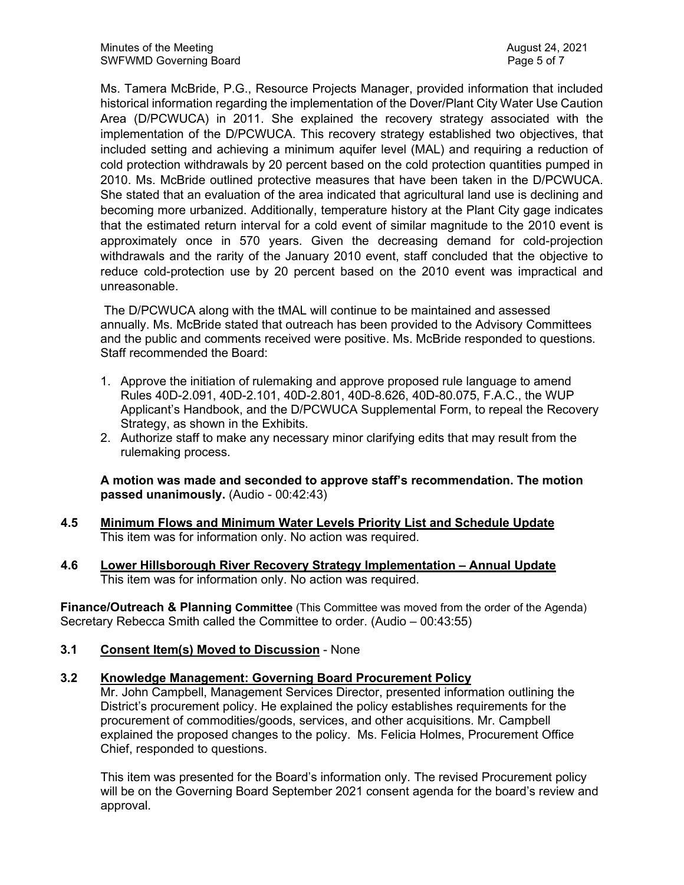Ms. Tamera McBride, P.G., Resource Projects Manager, provided information that included historical information regarding the implementation of the Dover/Plant City Water Use Caution Area (D/PCWUCA) in 2011. She explained the recovery strategy associated with the implementation of the D/PCWUCA. This recovery strategy established two objectives, that included setting and achieving a minimum aquifer level (MAL) and requiring a reduction of cold protection withdrawals by 20 percent based on the cold protection quantities pumped in 2010. Ms. McBride outlined protective measures that have been taken in the D/PCWUCA. She stated that an evaluation of the area indicated that agricultural land use is declining and becoming more urbanized. Additionally, temperature history at the Plant City gage indicates that the estimated return interval for a cold event of similar magnitude to the 2010 event is approximately once in 570 years. Given the decreasing demand for cold-projection withdrawals and the rarity of the January 2010 event, staff concluded that the objective to reduce cold-protection use by 20 percent based on the 2010 event was impractical and unreasonable.

The D/PCWUCA along with the tMAL will continue to be maintained and assessed annually. Ms. McBride stated that outreach has been provided to the Advisory Committees and the public and comments received were positive. Ms. McBride responded to questions. Staff recommended the Board:

- 1. Approve the initiation of rulemaking and approve proposed rule language to amend Rules 40D-2.091, 40D-2.101, 40D-2.801, 40D-8.626, 40D-80.075, F.A.C., the WUP Applicant's Handbook, and the D/PCWUCA Supplemental Form, to repeal the Recovery Strategy, as shown in the Exhibits.
- 2. Authorize staff to make any necessary minor clarifying edits that may result from the rulemaking process.

**A motion was made and seconded to approve staff's recommendation. The motion passed unanimously.** (Audio - 00:42:43)

- **4.5 Minimum Flows and Minimum Water Levels Priority List and Schedule Update**  This item was for information only. No action was required.
- **4.6 Lower Hillsborough River Recovery Strategy Implementation Annual Update**  This item was for information only. No action was required.

**Finance/Outreach & Planning Committee** (This Committee was moved from the order of the Agenda) Secretary Rebecca Smith called the Committee to order. (Audio – 00:43:55)

**3.1 Consent Item(s) Moved to Discussion** - None

#### **3.2 Knowledge Management: Governing Board Procurement Policy**

Mr. John Campbell, Management Services Director, presented information outlining the District's procurement policy. He explained the policy establishes requirements for the procurement of commodities/goods, services, and other acquisitions. Mr. Campbell explained the proposed changes to the policy. Ms. Felicia Holmes, Procurement Office Chief, responded to questions.

This item was presented for the Board's information only. The revised Procurement policy will be on the Governing Board September 2021 consent agenda for the board's review and approval.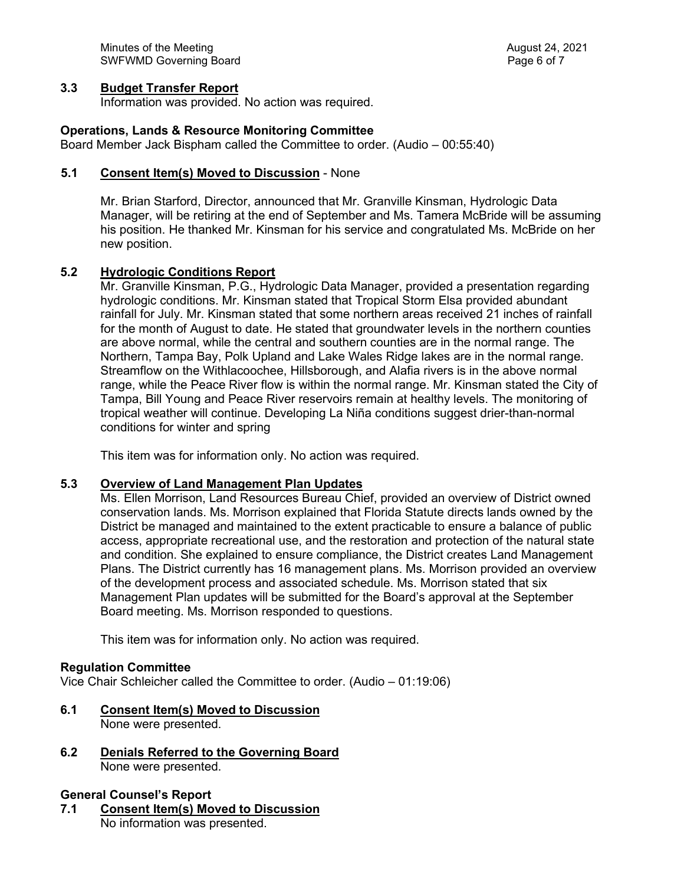Minutes of the Meeting August 24, 2021 SWFWMD Governing Board **Page 6 of 7** and 7 and 7 and 7 and 7 and 7 and 7 and 7 and 7 and 7 and 7 and 7 and 7 and 7 and 7 and 7 and 7 and 7 and 7 and 7 and 7 and 7 and 7 and 7 and 7 and 7 and 7 and 7 and 7 and 7 and 7 and 7

#### **3.3 Budget Transfer Report**

Information was provided. No action was required.

#### **Operations, Lands & Resource Monitoring Committee**

Board Member Jack Bispham called the Committee to order. (Audio – 00:55:40)

#### **5.1 Consent Item(s) Moved to Discussion** - None

Mr. Brian Starford, Director, announced that Mr. Granville Kinsman, Hydrologic Data Manager, will be retiring at the end of September and Ms. Tamera McBride will be assuming his position. He thanked Mr. Kinsman for his service and congratulated Ms. McBride on her new position.

#### **5.2 Hydrologic Conditions Report**

Mr. Granville Kinsman, P.G., Hydrologic Data Manager, provided a presentation regarding hydrologic conditions. Mr. Kinsman stated that Tropical Storm Elsa provided abundant rainfall for July. Mr. Kinsman stated that some northern areas received 21 inches of rainfall for the month of August to date. He stated that groundwater levels in the northern counties are above normal, while the central and southern counties are in the normal range. The Northern, Tampa Bay, Polk Upland and Lake Wales Ridge lakes are in the normal range. Streamflow on the Withlacoochee, Hillsborough, and Alafia rivers is in the above normal range, while the Peace River flow is within the normal range. Mr. Kinsman stated the City of Tampa, Bill Young and Peace River reservoirs remain at healthy levels. The monitoring of tropical weather will continue. Developing La Niña conditions suggest drier-than-normal conditions for winter and spring

This item was for information only. No action was required.

#### **5.3 Overview of Land Management Plan Updates**

Ms. Ellen Morrison, Land Resources Bureau Chief, provided an overview of District owned conservation lands. Ms. Morrison explained that Florida Statute directs lands owned by the District be managed and maintained to the extent practicable to ensure a balance of public access, appropriate recreational use, and the restoration and protection of the natural state and condition. She explained to ensure compliance, the District creates Land Management Plans. The District currently has 16 management plans. Ms. Morrison provided an overview of the development process and associated schedule. Ms. Morrison stated that six Management Plan updates will be submitted for the Board's approval at the September Board meeting. Ms. Morrison responded to questions.

This item was for information only. No action was required.

#### **Regulation Committee**

Vice Chair Schleicher called the Committee to order. (Audio – 01:19:06)

- **6.1 Consent Item(s) Moved to Discussion** None were presented.
- **6.2 Denials Referred to the Governing Board** None were presented.
- **General Counsel's Report 7.1 Consent Item(s) Moved to Discussion** No information was presented.